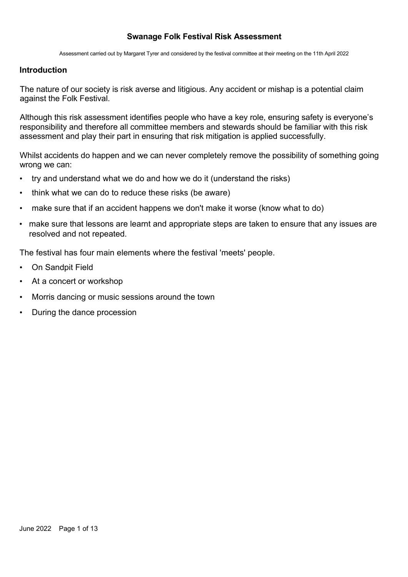## Swanage Folk Festival Risk Assessment

Assessment carried out by Margaret Tyrer and considered by the festival committee at their meeting on the 11th April 2022

#### **Introduction**

The nature of our society is risk averse and litigious. Any accident or mishap is a potential claim against the Folk Festival.

Although this risk assessment identifies people who have a key role, ensuring safety is everyone's responsibility and therefore all committee members and stewards should be familiar with this risk assessment and play their part in ensuring that risk mitigation is applied successfully.

Whilst accidents do happen and we can never completely remove the possibility of something going wrong we can:

- try and understand what we do and how we do it (understand the risks)
- think what we can do to reduce these risks (be aware)
- make sure that if an accident happens we don't make it worse (know what to do)
- make sure that lessons are learnt and appropriate steps are taken to ensure that any issues are resolved and not repeated.

The festival has four main elements where the festival 'meets' people.

- **On Sandpit Field**
- At a concert or workshop
- Morris dancing or music sessions around the town
- During the dance procession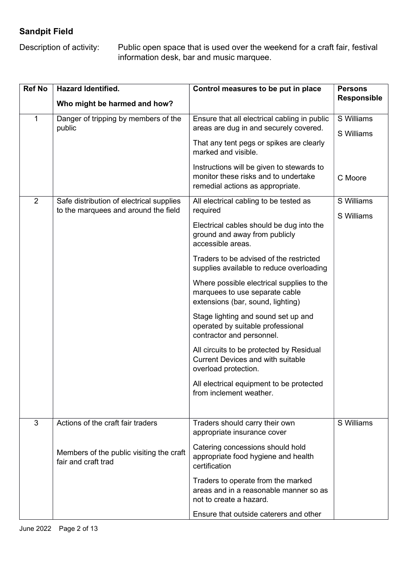# Sandpit Field

Description of activity: Public open space that is used over the weekend for a craft fair, festival information desk, bar and music marquee.

| <b>Ref No</b>  | <b>Hazard Identified.</b>                                                        | Control measures to be put in place                                                                                   | <b>Persons</b>           |
|----------------|----------------------------------------------------------------------------------|-----------------------------------------------------------------------------------------------------------------------|--------------------------|
|                | Who might be harmed and how?                                                     |                                                                                                                       | <b>Responsible</b>       |
| $\mathbf{1}$   | Danger of tripping by members of the                                             | Ensure that all electrical cabling in public                                                                          | S Williams               |
|                | public                                                                           | areas are dug in and securely covered.                                                                                | S Williams               |
|                |                                                                                  | That any tent pegs or spikes are clearly<br>marked and visible.                                                       |                          |
|                |                                                                                  | Instructions will be given to stewards to<br>monitor these risks and to undertake<br>remedial actions as appropriate. | C Moore                  |
| $\overline{2}$ | Safe distribution of electrical supplies<br>to the marquees and around the field | All electrical cabling to be tested as<br>required                                                                    | S Williams<br>S Williams |
|                |                                                                                  | Electrical cables should be dug into the<br>ground and away from publicly<br>accessible areas.                        |                          |
|                |                                                                                  | Traders to be advised of the restricted<br>supplies available to reduce overloading                                   |                          |
|                |                                                                                  | Where possible electrical supplies to the<br>marquees to use separate cable<br>extensions (bar, sound, lighting)      |                          |
|                |                                                                                  | Stage lighting and sound set up and<br>operated by suitable professional<br>contractor and personnel.                 |                          |
|                |                                                                                  | All circuits to be protected by Residual<br><b>Current Devices and with suitable</b><br>overload protection.          |                          |
|                |                                                                                  | All electrical equipment to be protected<br>from inclement weather.                                                   |                          |
|                |                                                                                  |                                                                                                                       |                          |
| 3              | Actions of the craft fair traders                                                | Traders should carry their own<br>appropriate insurance cover                                                         | S Williams               |
|                | Members of the public visiting the craft<br>fair and craft trad                  | Catering concessions should hold<br>appropriate food hygiene and health<br>certification                              |                          |
|                |                                                                                  | Traders to operate from the marked<br>areas and in a reasonable manner so as<br>not to create a hazard.               |                          |
|                |                                                                                  | Ensure that outside caterers and other                                                                                |                          |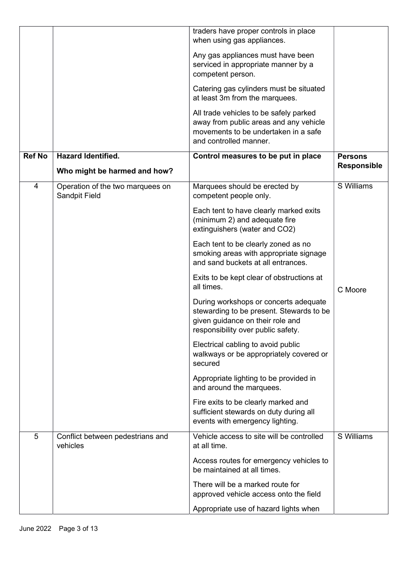|                |                                  | traders have proper controls in place                                         |                    |
|----------------|----------------------------------|-------------------------------------------------------------------------------|--------------------|
|                |                                  | when using gas appliances.                                                    |                    |
|                |                                  | Any gas appliances must have been                                             |                    |
|                |                                  | serviced in appropriate manner by a<br>competent person.                      |                    |
|                |                                  |                                                                               |                    |
|                |                                  | Catering gas cylinders must be situated<br>at least 3m from the marquees.     |                    |
|                |                                  | All trade vehicles to be safely parked                                        |                    |
|                |                                  | away from public areas and any vehicle                                        |                    |
|                |                                  | movements to be undertaken in a safe<br>and controlled manner.                |                    |
|                |                                  |                                                                               |                    |
| <b>Ref No</b>  | <b>Hazard Identified.</b>        | Control measures to be put in place                                           | <b>Persons</b>     |
|                | Who might be harmed and how?     |                                                                               | <b>Responsible</b> |
| $\overline{4}$ | Operation of the two marquees on | Marquees should be erected by                                                 | S Williams         |
|                | <b>Sandpit Field</b>             | competent people only.                                                        |                    |
|                |                                  | Each tent to have clearly marked exits                                        |                    |
|                |                                  | (minimum 2) and adequate fire                                                 |                    |
|                |                                  | extinguishers (water and CO2)                                                 |                    |
|                |                                  | Each tent to be clearly zoned as no                                           |                    |
|                |                                  | smoking areas with appropriate signage                                        |                    |
|                |                                  | and sand buckets at all entrances.                                            |                    |
|                |                                  | Exits to be kept clear of obstructions at<br>all times.                       | C Moore            |
|                |                                  | During workshops or concerts adequate                                         |                    |
|                |                                  | stewarding to be present. Stewards to be                                      |                    |
|                |                                  | given guidance on their role and                                              |                    |
|                |                                  | responsibility over public safety.                                            |                    |
|                |                                  | Electrical cabling to avoid public<br>walkways or be appropriately covered or |                    |
|                |                                  | secured                                                                       |                    |
|                |                                  |                                                                               |                    |
|                |                                  | Appropriate lighting to be provided in<br>and around the marquees.            |                    |
|                |                                  | Fire exits to be clearly marked and                                           |                    |
|                |                                  | sufficient stewards on duty during all                                        |                    |
|                |                                  | events with emergency lighting.                                               |                    |
| 5              | Conflict between pedestrians and | Vehicle access to site will be controlled                                     | S Williams         |
|                | vehicles                         | at all time.                                                                  |                    |
|                |                                  | Access routes for emergency vehicles to                                       |                    |
|                |                                  | be maintained at all times.                                                   |                    |
|                |                                  | There will be a marked route for                                              |                    |
|                |                                  | approved vehicle access onto the field                                        |                    |
|                |                                  | Appropriate use of hazard lights when                                         |                    |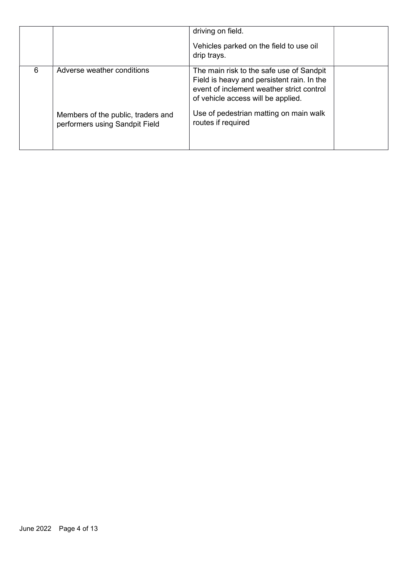|   |                                                                      | driving on field.<br>Vehicles parked on the field to use oil<br>drip trays.                                                                                               |  |
|---|----------------------------------------------------------------------|---------------------------------------------------------------------------------------------------------------------------------------------------------------------------|--|
| 6 | Adverse weather conditions                                           | The main risk to the safe use of Sandpit<br>Field is heavy and persistent rain. In the<br>event of inclement weather strict control<br>of vehicle access will be applied. |  |
|   | Members of the public, traders and<br>performers using Sandpit Field | Use of pedestrian matting on main walk<br>routes if required                                                                                                              |  |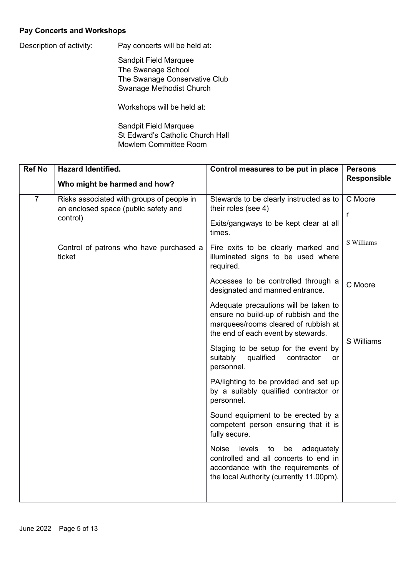#### Pay Concerts and Workshops

Description of activity: Pay concerts will be held at:

Sandpit Field Marquee The Swanage School The Swanage Conservative Club Swanage Methodist Church

Workshops will be held at:

Sandpit Field Marquee St Edward's Catholic Church Hall Mowlem Committee Room

| <b>Ref No</b>  | <b>Hazard Identified.</b>                                                         | Control measures to be put in place                                                                                                                                          | <b>Persons</b>     |
|----------------|-----------------------------------------------------------------------------------|------------------------------------------------------------------------------------------------------------------------------------------------------------------------------|--------------------|
|                | Who might be harmed and how?                                                      |                                                                                                                                                                              | <b>Responsible</b> |
| $\overline{7}$ | Risks associated with groups of people in<br>an enclosed space (public safety and | Stewards to be clearly instructed as to<br>their roles (see 4)                                                                                                               | C Moore            |
|                | control)                                                                          | Exits/gangways to be kept clear at all<br>times.                                                                                                                             | r                  |
|                | Control of patrons who have purchased a<br>ticket                                 | Fire exits to be clearly marked and<br>illuminated signs to be used where<br>required.                                                                                       | S Williams         |
|                |                                                                                   | Accesses to be controlled through a<br>designated and manned entrance.                                                                                                       | C Moore            |
|                |                                                                                   | Adequate precautions will be taken to<br>ensure no build-up of rubbish and the<br>marquees/rooms cleared of rubbish at<br>the end of each event by stewards.                 |                    |
|                |                                                                                   | Staging to be setup for the event by<br>qualified<br>suitably<br>contractor<br>or<br>personnel.                                                                              | S Williams         |
|                |                                                                                   | PA/lighting to be provided and set up<br>by a suitably qualified contractor or<br>personnel.                                                                                 |                    |
|                |                                                                                   | Sound equipment to be erected by a<br>competent person ensuring that it is<br>fully secure.                                                                                  |                    |
|                |                                                                                   | <b>Noise</b><br>levels<br>to<br>be<br>adequately<br>controlled and all concerts to end in<br>accordance with the requirements of<br>the local Authority (currently 11.00pm). |                    |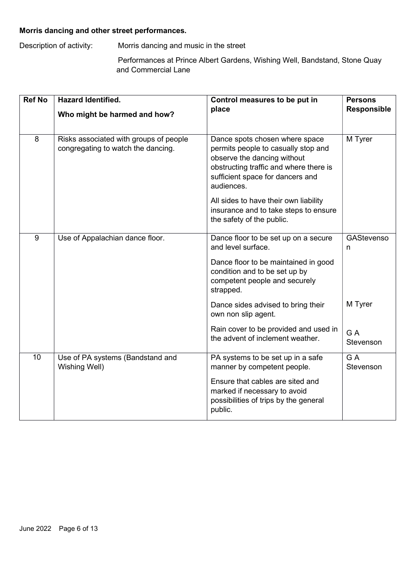## Morris dancing and other street performances.

Description of activity: Morris dancing and music in the street

 Performances at Prince Albert Gardens, Wishing Well, Bandstand, Stone Quay and Commercial Lane

| <b>Ref No</b> | <b>Hazard Identified.</b><br>Who might be harmed and how?                    | Control measures to be put in<br>place                                                                                                                                                           | <b>Persons</b><br><b>Responsible</b> |
|---------------|------------------------------------------------------------------------------|--------------------------------------------------------------------------------------------------------------------------------------------------------------------------------------------------|--------------------------------------|
| 8             | Risks associated with groups of people<br>congregating to watch the dancing. | Dance spots chosen where space<br>permits people to casually stop and<br>observe the dancing without<br>obstructing traffic and where there is<br>sufficient space for dancers and<br>audiences. | M Tyrer                              |
|               |                                                                              | All sides to have their own liability<br>insurance and to take steps to ensure<br>the safety of the public.                                                                                      |                                      |
| 9             | Use of Appalachian dance floor.                                              | Dance floor to be set up on a secure<br>and level surface.                                                                                                                                       | <b>GAStevenso</b><br>n               |
|               |                                                                              | Dance floor to be maintained in good<br>condition and to be set up by<br>competent people and securely<br>strapped.                                                                              |                                      |
|               |                                                                              | Dance sides advised to bring their<br>own non slip agent.                                                                                                                                        | M Tyrer                              |
|               |                                                                              | Rain cover to be provided and used in<br>the advent of inclement weather.                                                                                                                        | G A<br>Stevenson                     |
| 10            | Use of PA systems (Bandstand and<br>Wishing Well)                            | PA systems to be set up in a safe<br>manner by competent people.                                                                                                                                 | G A<br>Stevenson                     |
|               |                                                                              | Ensure that cables are sited and<br>marked if necessary to avoid<br>possibilities of trips by the general<br>public.                                                                             |                                      |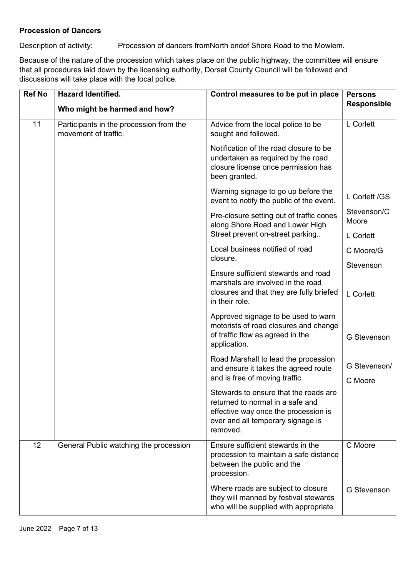### Procession of Dancers

Description of activity: Procession of dancers fromNorth endof Shore Road to the Mowlem.

Because of the nature of the procession which takes place on the public highway, the committee will ensure that all procedures laid down by the licensing authority, Dorset County Council will be followed and discussions will take place with the local police.

| <b>Ref No</b> | <b>Hazard Identified.</b>                                       | Control measures to be put in place                                                                                                                                | <b>Persons</b>          |
|---------------|-----------------------------------------------------------------|--------------------------------------------------------------------------------------------------------------------------------------------------------------------|-------------------------|
|               | Who might be harmed and how?                                    |                                                                                                                                                                    | <b>Responsible</b>      |
| 11            | Participants in the procession from the<br>movement of traffic. | Advice from the local police to be<br>sought and followed.                                                                                                         | L Corlett               |
|               |                                                                 | Notification of the road closure to be<br>undertaken as required by the road<br>closure license once permission has<br>been granted.                               |                         |
|               |                                                                 | Warning signage to go up before the<br>event to notify the public of the event.                                                                                    | L Corlett /GS           |
|               |                                                                 | Pre-closure setting out of traffic cones<br>along Shore Road and Lower High                                                                                        | Stevenson/C<br>Moore    |
|               |                                                                 | Street prevent on-street parking                                                                                                                                   | L Corlett               |
|               |                                                                 | Local business notified of road<br>closure.                                                                                                                        | C Moore/G               |
|               |                                                                 | Ensure sufficient stewards and road                                                                                                                                | Stevenson               |
|               |                                                                 | marshals are involved in the road<br>closures and that they are fully briefed<br>in their role.                                                                    | L Corlett               |
|               |                                                                 | Approved signage to be used to warn<br>motorists of road closures and change<br>of traffic flow as agreed in the<br>application.                                   | G Stevenson             |
|               |                                                                 | Road Marshall to lead the procession<br>and ensure it takes the agreed route<br>and is free of moving traffic.                                                     | G Stevenson/<br>C Moore |
|               |                                                                 | Stewards to ensure that the roads are<br>returned to normal in a safe and<br>effective way once the procession is<br>over and all temporary signage is<br>removed. |                         |
| 12            | General Public watching the procession                          | Ensure sufficient stewards in the<br>procession to maintain a safe distance<br>between the public and the<br>procession.                                           | C Moore                 |
|               |                                                                 | Where roads are subject to closure<br>they will manned by festival stewards<br>who will be supplied with appropriate                                               | <b>G</b> Stevenson      |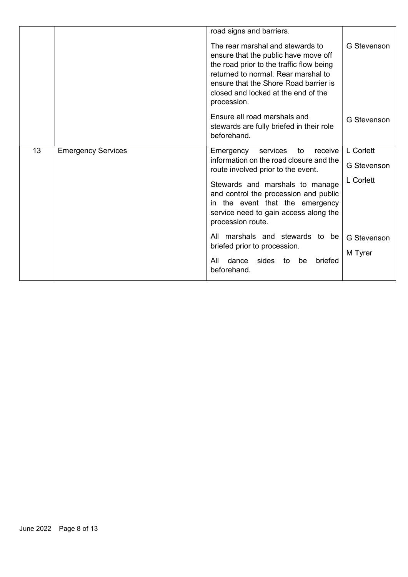|    |                           | road signs and barriers.                                                                                                                                                                                                                                                                          |                                              |
|----|---------------------------|---------------------------------------------------------------------------------------------------------------------------------------------------------------------------------------------------------------------------------------------------------------------------------------------------|----------------------------------------------|
|    |                           | The rear marshal and stewards to<br>ensure that the public have move off<br>the road prior to the traffic flow being<br>returned to normal. Rear marshal to<br>ensure that the Shore Road barrier is<br>closed and locked at the end of the<br>procession.                                        | <b>G</b> Stevenson                           |
|    |                           | Ensure all road marshals and<br>stewards are fully briefed in their role<br>beforehand.                                                                                                                                                                                                           | <b>G</b> Stevenson                           |
| 13 | <b>Emergency Services</b> | receive<br>services to<br>Emergency<br>information on the road closure and the<br>route involved prior to the event.<br>Stewards and marshals to manage<br>and control the procession and public<br>in the event that the emergency<br>service need to gain access along the<br>procession route. | L Corlett<br><b>G</b> Stevenson<br>L Corlett |
|    |                           | marshals and stewards to be<br>All<br>briefed prior to procession.<br>sides to be<br>dance<br>briefed<br>All<br>beforehand.                                                                                                                                                                       | <b>G</b> Stevenson<br>M Tyrer                |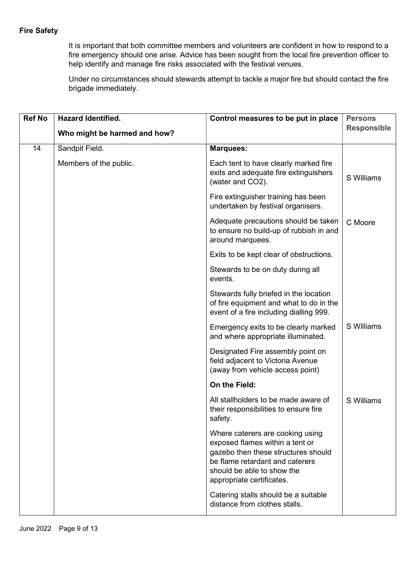#### Fire Safety

It is important that both committee members and volunteers are confident in how to respond to a fire emergency should one arise. Advice has been sought from the local fire prevention officer to help identify and manage fire risks associated with the festival venues.

Under no circumstances should stewards attempt to tackle a major fire but should contact the fire brigade immediately.

| <b>Ref No</b> | <b>Hazard Identified.</b>    | Control measures to be put in place                                                                                                                                                                      | <b>Persons</b>     |
|---------------|------------------------------|----------------------------------------------------------------------------------------------------------------------------------------------------------------------------------------------------------|--------------------|
|               | Who might be harmed and how? |                                                                                                                                                                                                          | <b>Responsible</b> |
| 14            | Sandpit Field.               | <b>Marquees:</b>                                                                                                                                                                                         |                    |
|               | Members of the public.       | Each tent to have clearly marked fire<br>exits and adequate fire extinguishers<br>(water and CO2).                                                                                                       | S Williams         |
|               |                              | Fire extinguisher training has been<br>undertaken by festival organisers.                                                                                                                                |                    |
|               |                              | Adequate precautions should be taken<br>to ensure no build-up of rubbish in and<br>around marquees.                                                                                                      | C Moore            |
|               |                              | Exits to be kept clear of obstructions.                                                                                                                                                                  |                    |
|               |                              | Stewards to be on duty during all<br>events.                                                                                                                                                             |                    |
|               |                              | Stewards fully briefed in the location<br>of fire equipment and what to do in the<br>event of a fire including dialling 999.                                                                             |                    |
|               |                              | Emergency exits to be clearly marked<br>and where appropriate illuminated.                                                                                                                               | S Williams         |
|               |                              | Designated Fire assembly point on<br>field adjacent to Victoria Avenue<br>(away from vehicle access point)                                                                                               |                    |
|               |                              | On the Field:                                                                                                                                                                                            |                    |
|               |                              | All stallholders to be made aware of<br>their responsibilities to ensure fire<br>safety.                                                                                                                 | S Williams         |
|               |                              | Where caterers are cooking using<br>exposed flames within a tent or<br>gazebo then these structures should<br>be flame retardant and caterers<br>should be able to show the<br>appropriate certificates. |                    |
|               |                              | Catering stalls should be a suitable<br>distance from clothes stalls.                                                                                                                                    |                    |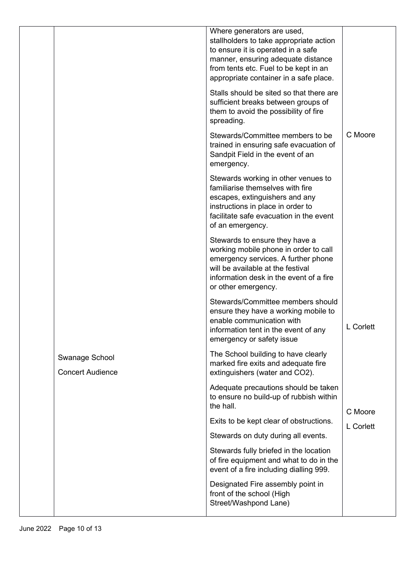|                                           | Where generators are used,<br>stallholders to take appropriate action<br>to ensure it is operated in a safe<br>manner, ensuring adequate distance<br>from tents etc. Fuel to be kept in an<br>appropriate container in a safe place.<br>Stalls should be sited so that there are<br>sufficient breaks between groups of<br>them to avoid the possibility of fire<br>spreading. |           |
|-------------------------------------------|--------------------------------------------------------------------------------------------------------------------------------------------------------------------------------------------------------------------------------------------------------------------------------------------------------------------------------------------------------------------------------|-----------|
|                                           | Stewards/Committee members to be<br>trained in ensuring safe evacuation of<br>Sandpit Field in the event of an<br>emergency.                                                                                                                                                                                                                                                   | C Moore   |
|                                           | Stewards working in other venues to<br>familiarise themselves with fire<br>escapes, extinguishers and any<br>instructions in place in order to<br>facilitate safe evacuation in the event<br>of an emergency.                                                                                                                                                                  |           |
|                                           | Stewards to ensure they have a<br>working mobile phone in order to call<br>emergency services. A further phone<br>will be available at the festival<br>information desk in the event of a fire<br>or other emergency.                                                                                                                                                          |           |
|                                           | Stewards/Committee members should<br>ensure they have a working mobile to<br>enable communication with<br>information tent in the event of any<br>emergency or safety issue                                                                                                                                                                                                    | L Corlett |
| Swanage School<br><b>Concert Audience</b> | The School building to have clearly<br>marked fire exits and adequate fire<br>extinguishers (water and CO2).                                                                                                                                                                                                                                                                   |           |
|                                           | Adequate precautions should be taken<br>to ensure no build-up of rubbish within<br>the hall.                                                                                                                                                                                                                                                                                   | C Moore   |
|                                           | Exits to be kept clear of obstructions.                                                                                                                                                                                                                                                                                                                                        | L Corlett |
|                                           | Stewards on duty during all events.                                                                                                                                                                                                                                                                                                                                            |           |
|                                           | Stewards fully briefed in the location<br>of fire equipment and what to do in the<br>event of a fire including dialling 999.                                                                                                                                                                                                                                                   |           |
|                                           | Designated Fire assembly point in<br>front of the school (High<br>Street/Washpond Lane)                                                                                                                                                                                                                                                                                        |           |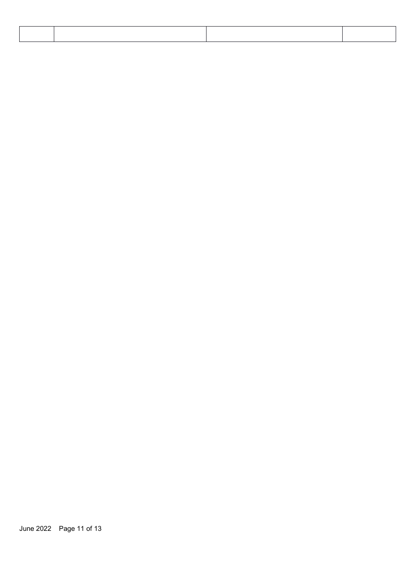June 2022 Page 11 of 13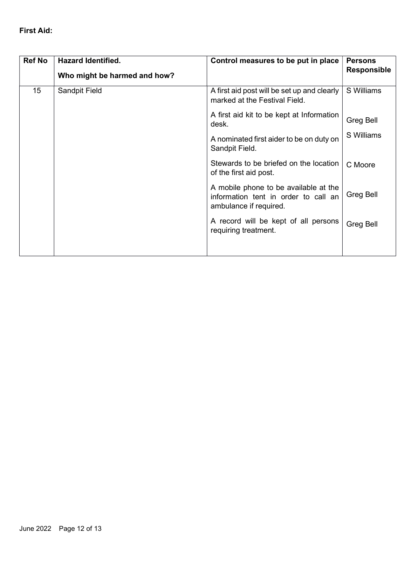# First Aid:

| <b>Ref No</b> | <b>Hazard Identified.</b><br>Who might be harmed and how? | Control measures to be put in place                                                                     | <b>Persons</b><br><b>Responsible</b> |
|---------------|-----------------------------------------------------------|---------------------------------------------------------------------------------------------------------|--------------------------------------|
| 15            | Sandpit Field                                             | A first aid post will be set up and clearly<br>marked at the Festival Field.                            | S Williams                           |
|               |                                                           | A first aid kit to be kept at Information<br>desk.                                                      | Greg Bell                            |
|               |                                                           | A nominated first aider to be on duty on<br>Sandpit Field.                                              | S Williams                           |
|               |                                                           | Stewards to be briefed on the location<br>of the first aid post.                                        | C Moore                              |
|               |                                                           | A mobile phone to be available at the<br>information tent in order to call an<br>ambulance if required. | Greg Bell                            |
|               |                                                           | A record will be kept of all persons<br>requiring treatment.                                            | Greg Bell                            |
|               |                                                           |                                                                                                         |                                      |